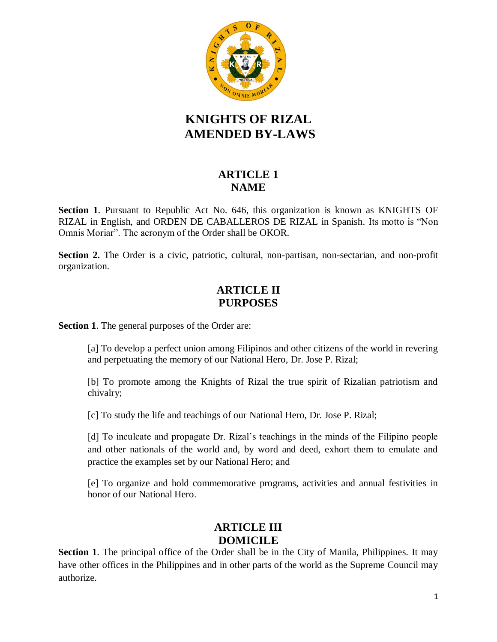

# **KNIGHTS OF RIZAL AMENDED BY-LAWS**

# **ARTICLE 1 NAME**

**Section 1**. Pursuant to Republic Act No. 646, this organization is known as KNIGHTS OF RIZAL in English, and ORDEN DE CABALLEROS DE RIZAL in Spanish. Its motto is "Non Omnis Moriar". The acronym of the Order shall be OKOR.

**Section 2.** The Order is a civic, patriotic, cultural, non-partisan, non-sectarian, and non-profit organization.

# **ARTICLE II PURPOSES**

**Section 1**. The general purposes of the Order are:

[a] To develop a perfect union among Filipinos and other citizens of the world in revering and perpetuating the memory of our National Hero, Dr. Jose P. Rizal;

[b] To promote among the Knights of Rizal the true spirit of Rizalian patriotism and chivalry;

[c] To study the life and teachings of our National Hero, Dr. Jose P. Rizal;

[d] To inculcate and propagate Dr. Rizal's teachings in the minds of the Filipino people and other nationals of the world and, by word and deed, exhort them to emulate and practice the examples set by our National Hero; and

[e] To organize and hold commemorative programs, activities and annual festivities in honor of our National Hero.

# **ARTICLE III DOMICILE**

**Section 1**. The principal office of the Order shall be in the City of Manila, Philippines. It may have other offices in the Philippines and in other parts of the world as the Supreme Council may authorize.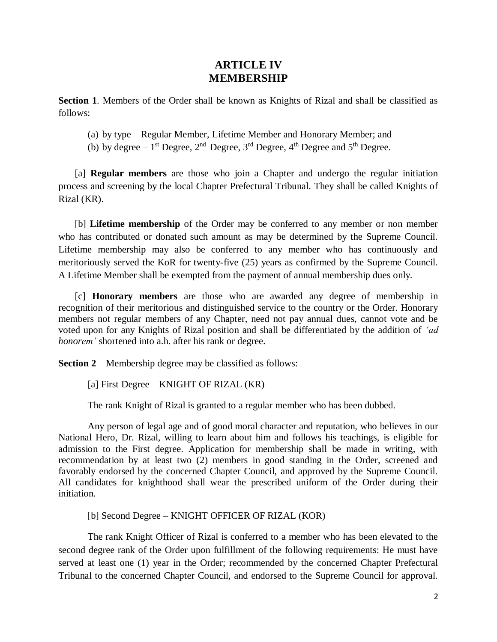#### **ARTICLE IV MEMBERSHIP**

**Section 1**. Members of the Order shall be known as Knights of Rizal and shall be classified as follows:

(a) by type – Regular Member, Lifetime Member and Honorary Member; and

(b) by degree  $-1$ <sup>st</sup> Degree,  $2<sup>nd</sup>$  Degree,  $3<sup>rd</sup>$  Degree,  $4<sup>th</sup>$  Degree and  $5<sup>th</sup>$  Degree.

[a] **Regular members** are those who join a Chapter and undergo the regular initiation process and screening by the local Chapter Prefectural Tribunal. They shall be called Knights of Rizal (KR).

[b] **Lifetime membership** of the Order may be conferred to any member or non member who has contributed or donated such amount as may be determined by the Supreme Council. Lifetime membership may also be conferred to any member who has continuously and meritoriously served the KoR for twenty-five (25) years as confirmed by the Supreme Council. A Lifetime Member shall be exempted from the payment of annual membership dues only.

[c] **Honorary members** are those who are awarded any degree of membership in recognition of their meritorious and distinguished service to the country or the Order. Honorary members not regular members of any Chapter, need not pay annual dues, cannot vote and be voted upon for any Knights of Rizal position and shall be differentiated by the addition of *'ad honorem'* shortened into a.h. after his rank or degree.

**Section 2** – Membership degree may be classified as follows:

[a] First Degree – KNIGHT OF RIZAL (KR)

The rank Knight of Rizal is granted to a regular member who has been dubbed.

Any person of legal age and of good moral character and reputation, who believes in our National Hero, Dr. Rizal, willing to learn about him and follows his teachings, is eligible for admission to the First degree. Application for membership shall be made in writing, with recommendation by at least two (2) members in good standing in the Order, screened and favorably endorsed by the concerned Chapter Council, and approved by the Supreme Council. All candidates for knighthood shall wear the prescribed uniform of the Order during their initiation.

[b] Second Degree – KNIGHT OFFICER OF RIZAL (KOR)

The rank Knight Officer of Rizal is conferred to a member who has been elevated to the second degree rank of the Order upon fulfillment of the following requirements: He must have served at least one (1) year in the Order; recommended by the concerned Chapter Prefectural Tribunal to the concerned Chapter Council, and endorsed to the Supreme Council for approval.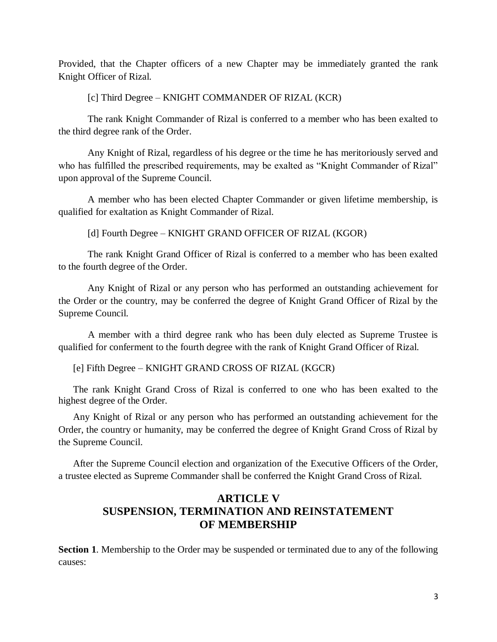Provided, that the Chapter officers of a new Chapter may be immediately granted the rank Knight Officer of Rizal.

[c] Third Degree – KNIGHT COMMANDER OF RIZAL (KCR)

The rank Knight Commander of Rizal is conferred to a member who has been exalted to the third degree rank of the Order.

Any Knight of Rizal, regardless of his degree or the time he has meritoriously served and who has fulfilled the prescribed requirements, may be exalted as "Knight Commander of Rizal" upon approval of the Supreme Council.

A member who has been elected Chapter Commander or given lifetime membership, is qualified for exaltation as Knight Commander of Rizal.

[d] Fourth Degree – KNIGHT GRAND OFFICER OF RIZAL (KGOR)

The rank Knight Grand Officer of Rizal is conferred to a member who has been exalted to the fourth degree of the Order.

Any Knight of Rizal or any person who has performed an outstanding achievement for the Order or the country, may be conferred the degree of Knight Grand Officer of Rizal by the Supreme Council.

 A member with a third degree rank who has been duly elected as Supreme Trustee is qualified for conferment to the fourth degree with the rank of Knight Grand Officer of Rizal.

[e] Fifth Degree – KNIGHT GRAND CROSS OF RIZAL (KGCR)

The rank Knight Grand Cross of Rizal is conferred to one who has been exalted to the highest degree of the Order.

Any Knight of Rizal or any person who has performed an outstanding achievement for the Order, the country or humanity, may be conferred the degree of Knight Grand Cross of Rizal by the Supreme Council.

After the Supreme Council election and organization of the Executive Officers of the Order, a trustee elected as Supreme Commander shall be conferred the Knight Grand Cross of Rizal.

# **ARTICLE V SUSPENSION, TERMINATION AND REINSTATEMENT OF MEMBERSHIP**

**Section 1**. Membership to the Order may be suspended or terminated due to any of the following causes: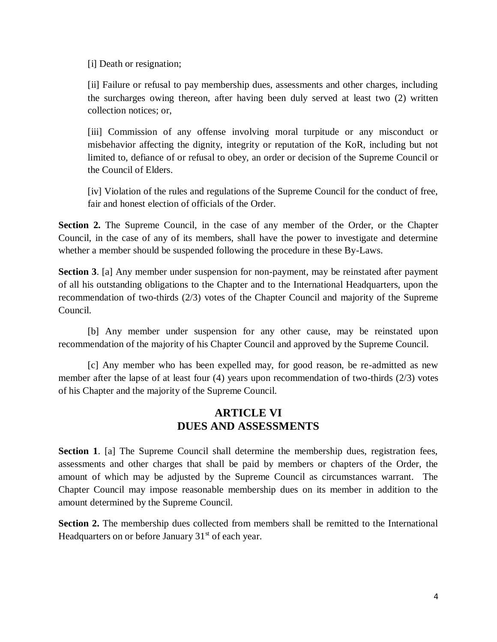[i] Death or resignation;

[ii] Failure or refusal to pay membership dues, assessments and other charges, including the surcharges owing thereon, after having been duly served at least two (2) written collection notices; or,

[iii] Commission of any offense involving moral turpitude or any misconduct or misbehavior affecting the dignity, integrity or reputation of the KoR, including but not limited to, defiance of or refusal to obey, an order or decision of the Supreme Council or the Council of Elders.

[iv] Violation of the rules and regulations of the Supreme Council for the conduct of free, fair and honest election of officials of the Order.

**Section 2.** The Supreme Council, in the case of any member of the Order, or the Chapter Council, in the case of any of its members, shall have the power to investigate and determine whether a member should be suspended following the procedure in these By-Laws.

**Section 3**. [a] Any member under suspension for non-payment, may be reinstated after payment of all his outstanding obligations to the Chapter and to the International Headquarters, upon the recommendation of two-thirds (2/3) votes of the Chapter Council and majority of the Supreme Council.

[b] Any member under suspension for any other cause, may be reinstated upon recommendation of the majority of his Chapter Council and approved by the Supreme Council.

[c] Any member who has been expelled may, for good reason, be re-admitted as new member after the lapse of at least four (4) years upon recommendation of two-thirds (2/3) votes of his Chapter and the majority of the Supreme Council.

#### **ARTICLE VI DUES AND ASSESSMENTS**

**Section 1.** [a] The Supreme Council shall determine the membership dues, registration fees, assessments and other charges that shall be paid by members or chapters of the Order, the amount of which may be adjusted by the Supreme Council as circumstances warrant. The Chapter Council may impose reasonable membership dues on its member in addition to the amount determined by the Supreme Council.

**Section 2.** The membership dues collected from members shall be remitted to the International Headquarters on or before January  $31<sup>st</sup>$  of each year.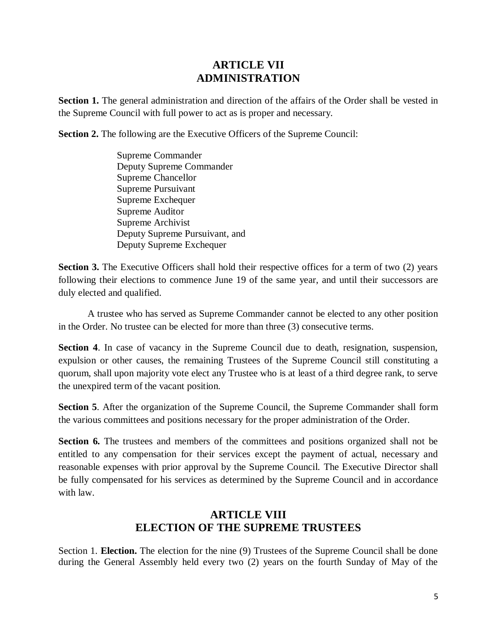#### **ARTICLE VII ADMINISTRATION**

**Section 1.** The general administration and direction of the affairs of the Order shall be vested in the Supreme Council with full power to act as is proper and necessary.

**Section 2.** The following are the Executive Officers of the Supreme Council:

Supreme Commander Deputy Supreme Commander Supreme Chancellor Supreme Pursuivant Supreme Exchequer Supreme Auditor Supreme Archivist Deputy Supreme Pursuivant, and Deputy Supreme Exchequer

**Section 3.** The Executive Officers shall hold their respective offices for a term of two (2) years following their elections to commence June 19 of the same year, and until their successors are duly elected and qualified.

A trustee who has served as Supreme Commander cannot be elected to any other position in the Order. No trustee can be elected for more than three (3) consecutive terms.

**Section 4**. In case of vacancy in the Supreme Council due to death, resignation, suspension, expulsion or other causes, the remaining Trustees of the Supreme Council still constituting a quorum, shall upon majority vote elect any Trustee who is at least of a third degree rank, to serve the unexpired term of the vacant position.

**Section 5**. After the organization of the Supreme Council, the Supreme Commander shall form the various committees and positions necessary for the proper administration of the Order.

Section 6. The trustees and members of the committees and positions organized shall not be entitled to any compensation for their services except the payment of actual, necessary and reasonable expenses with prior approval by the Supreme Council. The Executive Director shall be fully compensated for his services as determined by the Supreme Council and in accordance with law.

## **ARTICLE VIII ELECTION OF THE SUPREME TRUSTEES**

Section 1. **Election.** The election for the nine (9) Trustees of the Supreme Council shall be done during the General Assembly held every two (2) years on the fourth Sunday of May of the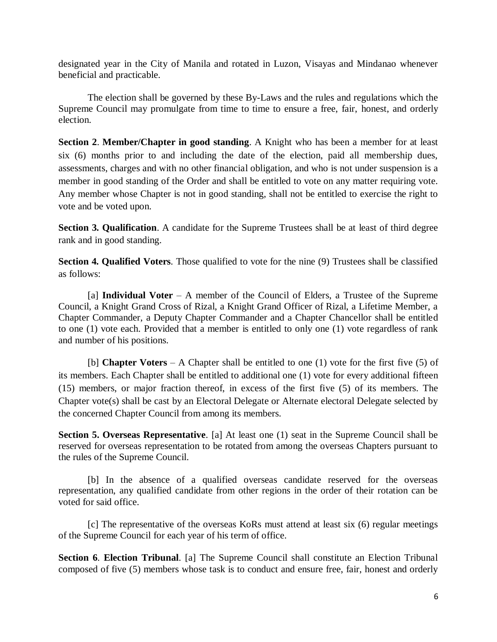designated year in the City of Manila and rotated in Luzon, Visayas and Mindanao whenever beneficial and practicable.

The election shall be governed by these By-Laws and the rules and regulations which the Supreme Council may promulgate from time to time to ensure a free, fair, honest, and orderly election.

**Section 2**. **Member/Chapter in good standing**. A Knight who has been a member for at least six (6) months prior to and including the date of the election, paid all membership dues, assessments, charges and with no other financial obligation, and who is not under suspension is a member in good standing of the Order and shall be entitled to vote on any matter requiring vote. Any member whose Chapter is not in good standing, shall not be entitled to exercise the right to vote and be voted upon.

**Section 3. Qualification**. A candidate for the Supreme Trustees shall be at least of third degree rank and in good standing.

**Section 4. Qualified Voters**. Those qualified to vote for the nine (9) Trustees shall be classified as follows:

[a] **Individual Voter** – A member of the Council of Elders, a Trustee of the Supreme Council, a Knight Grand Cross of Rizal, a Knight Grand Officer of Rizal, a Lifetime Member, a Chapter Commander, a Deputy Chapter Commander and a Chapter Chancellor shall be entitled to one (1) vote each. Provided that a member is entitled to only one (1) vote regardless of rank and number of his positions.

[b] **Chapter Voters** – A Chapter shall be entitled to one (1) vote for the first five (5) of its members. Each Chapter shall be entitled to additional one (1) vote for every additional fifteen (15) members, or major fraction thereof, in excess of the first five (5) of its members. The Chapter vote(s) shall be cast by an Electoral Delegate or Alternate electoral Delegate selected by the concerned Chapter Council from among its members.

**Section 5. Overseas Representative**. [a] At least one (1) seat in the Supreme Council shall be reserved for overseas representation to be rotated from among the overseas Chapters pursuant to the rules of the Supreme Council.

[b] In the absence of a qualified overseas candidate reserved for the overseas representation, any qualified candidate from other regions in the order of their rotation can be voted for said office.

[c] The representative of the overseas KoRs must attend at least six (6) regular meetings of the Supreme Council for each year of his term of office.

**Section 6**. **Election Tribunal**. [a] The Supreme Council shall constitute an Election Tribunal composed of five (5) members whose task is to conduct and ensure free, fair, honest and orderly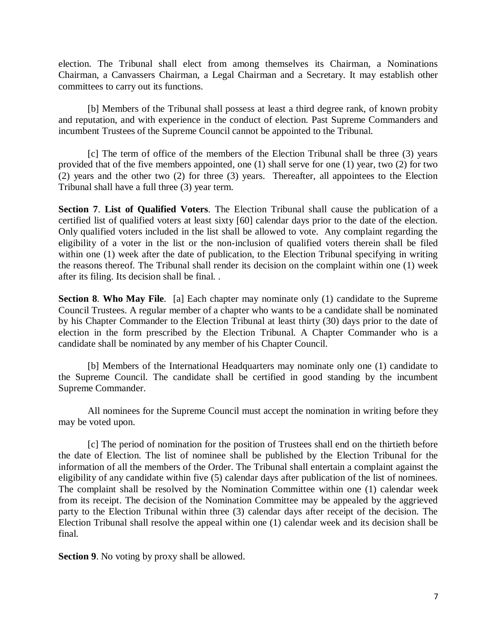election. The Tribunal shall elect from among themselves its Chairman, a Nominations Chairman, a Canvassers Chairman, a Legal Chairman and a Secretary. It may establish other committees to carry out its functions.

[b] Members of the Tribunal shall possess at least a third degree rank, of known probity and reputation, and with experience in the conduct of election. Past Supreme Commanders and incumbent Trustees of the Supreme Council cannot be appointed to the Tribunal.

[c] The term of office of the members of the Election Tribunal shall be three (3) years provided that of the five members appointed, one (1) shall serve for one (1) year, two (2) for two  $(2)$  years and the other two  $(2)$  for three  $(3)$  years. Thereafter, all appointees to the Election Tribunal shall have a full three (3) year term.

**Section 7**. **List of Qualified Voters**. The Election Tribunal shall cause the publication of a certified list of qualified voters at least sixty [60] calendar days prior to the date of the election. Only qualified voters included in the list shall be allowed to vote. Any complaint regarding the eligibility of a voter in the list or the non-inclusion of qualified voters therein shall be filed within one (1) week after the date of publication, to the Election Tribunal specifying in writing the reasons thereof. The Tribunal shall render its decision on the complaint within one (1) week after its filing. Its decision shall be final. .

**Section 8**. **Who May File**. [a] Each chapter may nominate only (1) candidate to the Supreme Council Trustees. A regular member of a chapter who wants to be a candidate shall be nominated by his Chapter Commander to the Election Tribunal at least thirty (30) days prior to the date of election in the form prescribed by the Election Tribunal. A Chapter Commander who is a candidate shall be nominated by any member of his Chapter Council.

[b] Members of the International Headquarters may nominate only one (1) candidate to the Supreme Council. The candidate shall be certified in good standing by the incumbent Supreme Commander.

All nominees for the Supreme Council must accept the nomination in writing before they may be voted upon.

[c] The period of nomination for the position of Trustees shall end on the thirtieth before the date of Election. The list of nominee shall be published by the Election Tribunal for the information of all the members of the Order. The Tribunal shall entertain a complaint against the eligibility of any candidate within five (5) calendar days after publication of the list of nominees. The complaint shall be resolved by the Nomination Committee within one (1) calendar week from its receipt. The decision of the Nomination Committee may be appealed by the aggrieved party to the Election Tribunal within three (3) calendar days after receipt of the decision. The Election Tribunal shall resolve the appeal within one (1) calendar week and its decision shall be final.

**Section 9**. No voting by proxy shall be allowed.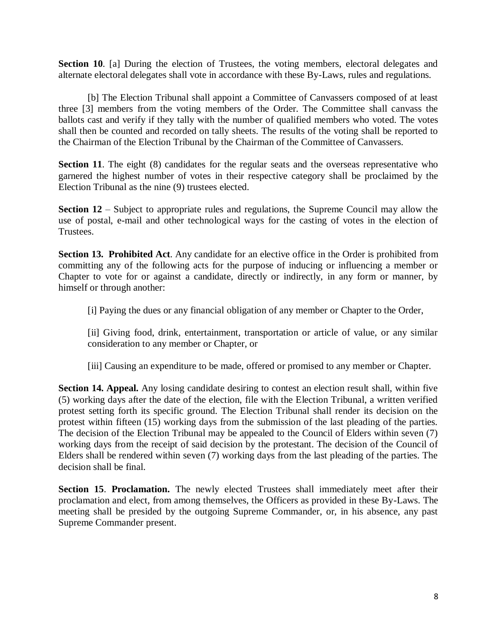**Section 10.** [a] During the election of Trustees, the voting members, electoral delegates and alternate electoral delegates shall vote in accordance with these By-Laws, rules and regulations.

[b] The Election Tribunal shall appoint a Committee of Canvassers composed of at least three [3] members from the voting members of the Order. The Committee shall canvass the ballots cast and verify if they tally with the number of qualified members who voted. The votes shall then be counted and recorded on tally sheets. The results of the voting shall be reported to the Chairman of the Election Tribunal by the Chairman of the Committee of Canvassers.

**Section 11**. The eight (8) candidates for the regular seats and the overseas representative who garnered the highest number of votes in their respective category shall be proclaimed by the Election Tribunal as the nine (9) trustees elected.

**Section 12** – Subject to appropriate rules and regulations, the Supreme Council may allow the use of postal, e-mail and other technological ways for the casting of votes in the election of Trustees.

**Section 13. Prohibited Act**. Any candidate for an elective office in the Order is prohibited from committing any of the following acts for the purpose of inducing or influencing a member or Chapter to vote for or against a candidate, directly or indirectly, in any form or manner, by himself or through another:

[i] Paying the dues or any financial obligation of any member or Chapter to the Order,

[ii] Giving food, drink, entertainment, transportation or article of value, or any similar consideration to any member or Chapter, or

[iii] Causing an expenditure to be made, offered or promised to any member or Chapter.

**Section 14. Appeal.** Any losing candidate desiring to contest an election result shall, within five (5) working days after the date of the election, file with the Election Tribunal, a written verified protest setting forth its specific ground. The Election Tribunal shall render its decision on the protest within fifteen (15) working days from the submission of the last pleading of the parties. The decision of the Election Tribunal may be appealed to the Council of Elders within seven (7) working days from the receipt of said decision by the protestant. The decision of the Council of Elders shall be rendered within seven (7) working days from the last pleading of the parties. The decision shall be final.

**Section 15**. **Proclamation.** The newly elected Trustees shall immediately meet after their proclamation and elect, from among themselves, the Officers as provided in these By-Laws. The meeting shall be presided by the outgoing Supreme Commander, or, in his absence, any past Supreme Commander present.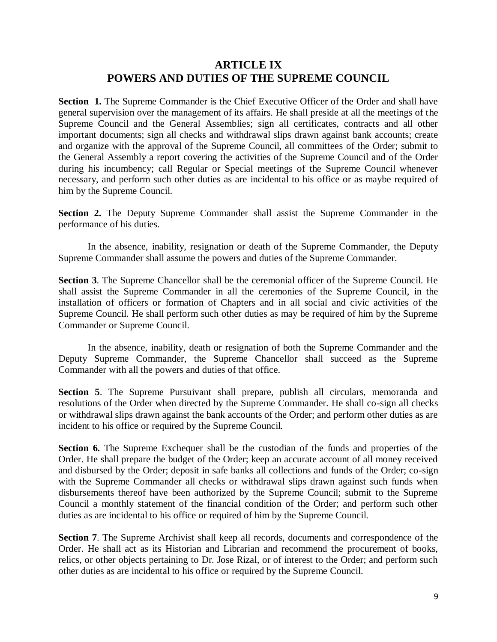#### **ARTICLE IX POWERS AND DUTIES OF THE SUPREME COUNCIL**

**Section 1.** The Supreme Commander is the Chief Executive Officer of the Order and shall have general supervision over the management of its affairs. He shall preside at all the meetings of the Supreme Council and the General Assemblies; sign all certificates, contracts and all other important documents; sign all checks and withdrawal slips drawn against bank accounts; create and organize with the approval of the Supreme Council, all committees of the Order; submit to the General Assembly a report covering the activities of the Supreme Council and of the Order during his incumbency; call Regular or Special meetings of the Supreme Council whenever necessary, and perform such other duties as are incidental to his office or as maybe required of him by the Supreme Council.

**Section 2.** The Deputy Supreme Commander shall assist the Supreme Commander in the performance of his duties.

In the absence, inability, resignation or death of the Supreme Commander, the Deputy Supreme Commander shall assume the powers and duties of the Supreme Commander.

**Section 3**. The Supreme Chancellor shall be the ceremonial officer of the Supreme Council. He shall assist the Supreme Commander in all the ceremonies of the Supreme Council, in the installation of officers or formation of Chapters and in all social and civic activities of the Supreme Council. He shall perform such other duties as may be required of him by the Supreme Commander or Supreme Council.

In the absence, inability, death or resignation of both the Supreme Commander and the Deputy Supreme Commander, the Supreme Chancellor shall succeed as the Supreme Commander with all the powers and duties of that office.

**Section 5**. The Supreme Pursuivant shall prepare, publish all circulars, memoranda and resolutions of the Order when directed by the Supreme Commander. He shall co-sign all checks or withdrawal slips drawn against the bank accounts of the Order; and perform other duties as are incident to his office or required by the Supreme Council.

Section 6. The Supreme Exchequer shall be the custodian of the funds and properties of the Order. He shall prepare the budget of the Order; keep an accurate account of all money received and disbursed by the Order; deposit in safe banks all collections and funds of the Order; co-sign with the Supreme Commander all checks or withdrawal slips drawn against such funds when disbursements thereof have been authorized by the Supreme Council; submit to the Supreme Council a monthly statement of the financial condition of the Order; and perform such other duties as are incidental to his office or required of him by the Supreme Council.

**Section 7**. The Supreme Archivist shall keep all records, documents and correspondence of the Order. He shall act as its Historian and Librarian and recommend the procurement of books, relics, or other objects pertaining to Dr. Jose Rizal, or of interest to the Order; and perform such other duties as are incidental to his office or required by the Supreme Council.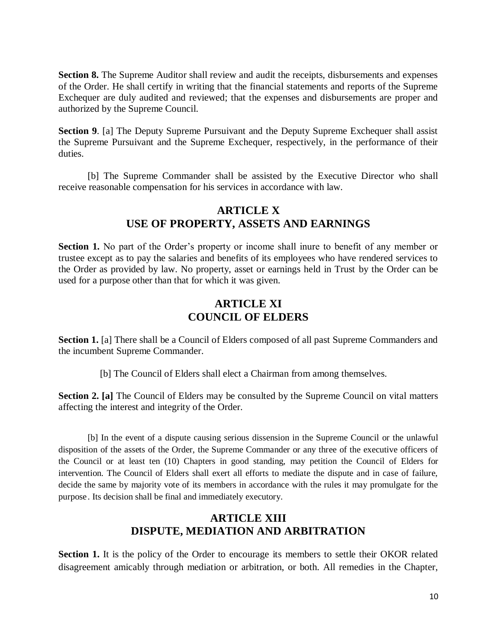**Section 8.** The Supreme Auditor shall review and audit the receipts, disbursements and expenses of the Order. He shall certify in writing that the financial statements and reports of the Supreme Exchequer are duly audited and reviewed; that the expenses and disbursements are proper and authorized by the Supreme Council.

**Section 9**. [a] The Deputy Supreme Pursuivant and the Deputy Supreme Exchequer shall assist the Supreme Pursuivant and the Supreme Exchequer, respectively, in the performance of their duties.

[b] The Supreme Commander shall be assisted by the Executive Director who shall receive reasonable compensation for his services in accordance with law.

## **ARTICLE X USE OF PROPERTY, ASSETS AND EARNINGS**

**Section 1.** No part of the Order's property or income shall inure to benefit of any member or trustee except as to pay the salaries and benefits of its employees who have rendered services to the Order as provided by law. No property, asset or earnings held in Trust by the Order can be used for a purpose other than that for which it was given.

### **ARTICLE XI COUNCIL OF ELDERS**

**Section 1.** [a] There shall be a Council of Elders composed of all past Supreme Commanders and the incumbent Supreme Commander.

[b] The Council of Elders shall elect a Chairman from among themselves.

**Section 2. [a]** The Council of Elders may be consulted by the Supreme Council on vital matters affecting the interest and integrity of the Order.

[b] In the event of a dispute causing serious dissension in the Supreme Council or the unlawful disposition of the assets of the Order, the Supreme Commander or any three of the executive officers of the Council or at least ten (10) Chapters in good standing, may petition the Council of Elders for intervention. The Council of Elders shall exert all efforts to mediate the dispute and in case of failure, decide the same by majority vote of its members in accordance with the rules it may promulgate for the purpose. Its decision shall be final and immediately executory.

# **ARTICLE XIII DISPUTE, MEDIATION AND ARBITRATION**

**Section 1.** It is the policy of the Order to encourage its members to settle their OKOR related disagreement amicably through mediation or arbitration, or both. All remedies in the Chapter,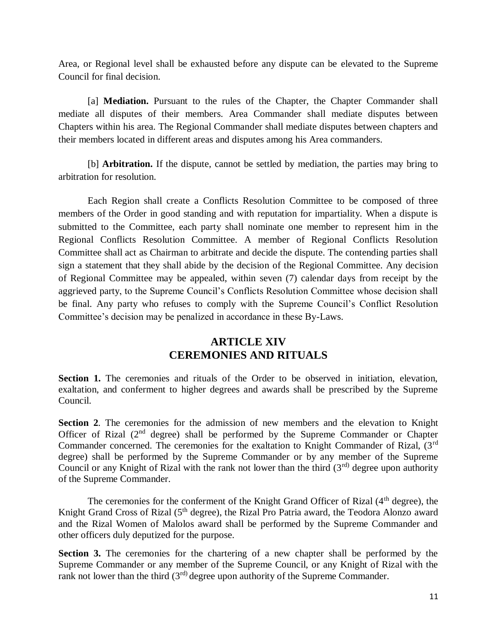Area, or Regional level shall be exhausted before any dispute can be elevated to the Supreme Council for final decision.

[a] **Mediation.** Pursuant to the rules of the Chapter, the Chapter Commander shall mediate all disputes of their members. Area Commander shall mediate disputes between Chapters within his area. The Regional Commander shall mediate disputes between chapters and their members located in different areas and disputes among his Area commanders.

[b] **Arbitration.** If the dispute, cannot be settled by mediation, the parties may bring to arbitration for resolution.

Each Region shall create a Conflicts Resolution Committee to be composed of three members of the Order in good standing and with reputation for impartiality. When a dispute is submitted to the Committee, each party shall nominate one member to represent him in the Regional Conflicts Resolution Committee. A member of Regional Conflicts Resolution Committee shall act as Chairman to arbitrate and decide the dispute. The contending parties shall sign a statement that they shall abide by the decision of the Regional Committee. Any decision of Regional Committee may be appealed, within seven (7) calendar days from receipt by the aggrieved party, to the Supreme Council's Conflicts Resolution Committee whose decision shall be final. Any party who refuses to comply with the Supreme Council's Conflict Resolution Committee's decision may be penalized in accordance in these By-Laws.

# **ARTICLE XIV CEREMONIES AND RITUALS**

**Section 1.** The ceremonies and rituals of the Order to be observed in initiation, elevation, exaltation, and conferment to higher degrees and awards shall be prescribed by the Supreme Council.

**Section 2**. The ceremonies for the admission of new members and the elevation to Knight Officer of Rizal (2nd degree) shall be performed by the Supreme Commander or Chapter Commander concerned. The ceremonies for the exaltation to Knight Commander of Rizal, (3<sup>rd</sup>) degree) shall be performed by the Supreme Commander or by any member of the Supreme Council or any Knight of Rizal with the rank not lower than the third  $(3<sup>rd</sup>)$  degree upon authority of the Supreme Commander.

The ceremonies for the conferment of the Knight Grand Officer of Rizal (4<sup>th</sup> degree), the Knight Grand Cross of Rizal (5<sup>th</sup> degree), the Rizal Pro Patria award, the Teodora Alonzo award and the Rizal Women of Malolos award shall be performed by the Supreme Commander and other officers duly deputized for the purpose.

**Section 3.** The ceremonies for the chartering of a new chapter shall be performed by the Supreme Commander or any member of the Supreme Council, or any Knight of Rizal with the rank not lower than the third  $(3<sup>rd</sup>)$  degree upon authority of the Supreme Commander.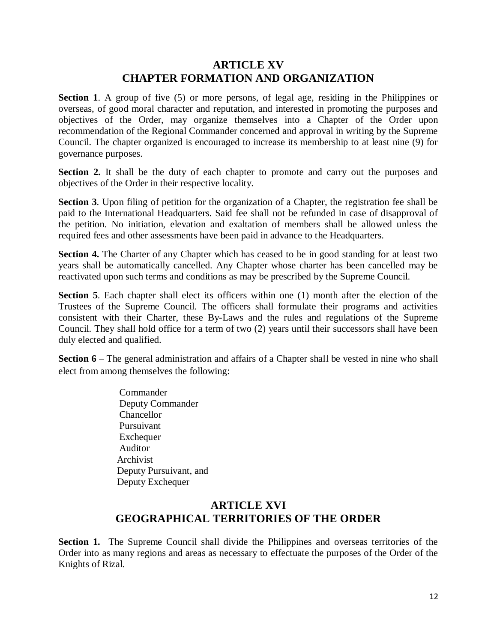#### **ARTICLE XV CHAPTER FORMATION AND ORGANIZATION**

**Section 1.** A group of five (5) or more persons, of legal age, residing in the Philippines or overseas, of good moral character and reputation, and interested in promoting the purposes and objectives of the Order, may organize themselves into a Chapter of the Order upon recommendation of the Regional Commander concerned and approval in writing by the Supreme Council. The chapter organized is encouraged to increase its membership to at least nine (9) for governance purposes.

**Section 2.** It shall be the duty of each chapter to promote and carry out the purposes and objectives of the Order in their respective locality.

**Section 3**. Upon filing of petition for the organization of a Chapter, the registration fee shall be paid to the International Headquarters. Said fee shall not be refunded in case of disapproval of the petition. No initiation, elevation and exaltation of members shall be allowed unless the required fees and other assessments have been paid in advance to the Headquarters.

**Section 4.** The Charter of any Chapter which has ceased to be in good standing for at least two years shall be automatically cancelled. Any Chapter whose charter has been cancelled may be reactivated upon such terms and conditions as may be prescribed by the Supreme Council.

**Section 5**. Each chapter shall elect its officers within one (1) month after the election of the Trustees of the Supreme Council. The officers shall formulate their programs and activities consistent with their Charter, these By-Laws and the rules and regulations of the Supreme Council. They shall hold office for a term of two (2) years until their successors shall have been duly elected and qualified.

**Section 6** – The general administration and affairs of a Chapter shall be vested in nine who shall elect from among themselves the following:

> **Commander**  Deputy Commander Chancellor Pursuivant Exchequer Auditor Archivist Deputy Pursuivant, and Deputy Exchequer

#### **ARTICLE XVI GEOGRAPHICAL TERRITORIES OF THE ORDER**

**Section 1.** The Supreme Council shall divide the Philippines and overseas territories of the Order into as many regions and areas as necessary to effectuate the purposes of the Order of the Knights of Rizal.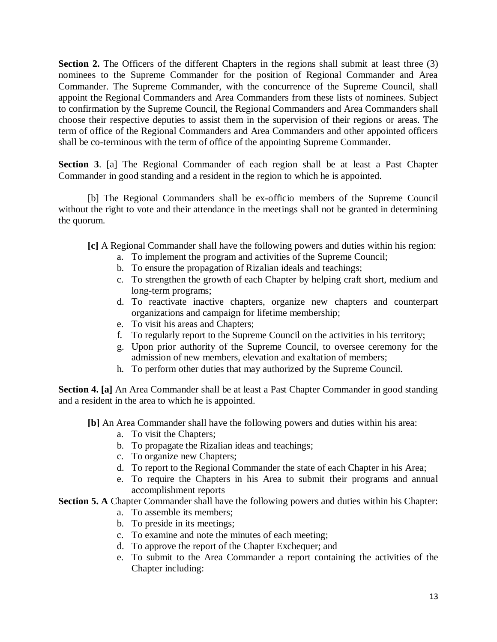**Section 2.** The Officers of the different Chapters in the regions shall submit at least three (3) nominees to the Supreme Commander for the position of Regional Commander and Area Commander. The Supreme Commander, with the concurrence of the Supreme Council, shall appoint the Regional Commanders and Area Commanders from these lists of nominees. Subject to confirmation by the Supreme Council, the Regional Commanders and Area Commanders shall choose their respective deputies to assist them in the supervision of their regions or areas. The term of office of the Regional Commanders and Area Commanders and other appointed officers shall be co-terminous with the term of office of the appointing Supreme Commander.

**Section 3**. [a] The Regional Commander of each region shall be at least a Past Chapter Commander in good standing and a resident in the region to which he is appointed.

[b] The Regional Commanders shall be ex-officio members of the Supreme Council without the right to vote and their attendance in the meetings shall not be granted in determining the quorum.

- **[c]** A Regional Commander shall have the following powers and duties within his region:
	- a. To implement the program and activities of the Supreme Council;
	- b. To ensure the propagation of Rizalian ideals and teachings;
	- c. To strengthen the growth of each Chapter by helping craft short, medium and long-term programs;
	- d. To reactivate inactive chapters, organize new chapters and counterpart organizations and campaign for lifetime membership;
	- e. To visit his areas and Chapters;
	- f. To regularly report to the Supreme Council on the activities in his territory;
	- g. Upon prior authority of the Supreme Council, to oversee ceremony for the admission of new members, elevation and exaltation of members;
	- h. To perform other duties that may authorized by the Supreme Council.

**Section 4. [a]** An Area Commander shall be at least a Past Chapter Commander in good standing and a resident in the area to which he is appointed.

- **[b]** An Area Commander shall have the following powers and duties within his area:
	- a. To visit the Chapters;
	- b. To propagate the Rizalian ideas and teachings;
	- c. To organize new Chapters;
	- d. To report to the Regional Commander the state of each Chapter in his Area;
	- e. To require the Chapters in his Area to submit their programs and annual accomplishment reports

#### **Section 5. A** Chapter Commander shall have the following powers and duties within his Chapter:

- a. To assemble its members;
- b. To preside in its meetings;
- c. To examine and note the minutes of each meeting;
- d. To approve the report of the Chapter Exchequer; and
- e. To submit to the Area Commander a report containing the activities of the Chapter including: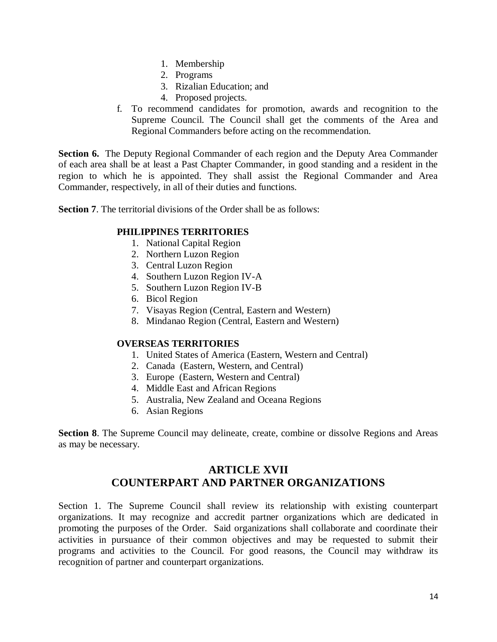- 1. Membership
- 2. Programs
- 3. Rizalian Education; and
- 4. Proposed projects.
- f. To recommend candidates for promotion, awards and recognition to the Supreme Council. The Council shall get the comments of the Area and Regional Commanders before acting on the recommendation.

**Section 6.** The Deputy Regional Commander of each region and the Deputy Area Commander of each area shall be at least a Past Chapter Commander, in good standing and a resident in the region to which he is appointed. They shall assist the Regional Commander and Area Commander, respectively, in all of their duties and functions.

**Section 7**. The territorial divisions of the Order shall be as follows:

#### **PHILIPPINES TERRITORIES**

- 1. National Capital Region
- 2. Northern Luzon Region
- 3. Central Luzon Region
- 4. Southern Luzon Region IV-A
- 5. Southern Luzon Region IV-B
- 6. Bicol Region
- 7. Visayas Region (Central, Eastern and Western)
- 8. Mindanao Region (Central, Eastern and Western)

#### **OVERSEAS TERRITORIES**

- 1. United States of America (Eastern, Western and Central)
- 2. Canada (Eastern, Western, and Central)
- 3. Europe (Eastern, Western and Central)
- 4. Middle East and African Regions
- 5. Australia, New Zealand and Oceana Regions
- 6. Asian Regions

**Section 8.** The Supreme Council may delineate, create, combine or dissolve Regions and Areas as may be necessary.

## **ARTICLE XVII COUNTERPART AND PARTNER ORGANIZATIONS**

Section 1. The Supreme Council shall review its relationship with existing counterpart organizations. It may recognize and accredit partner organizations which are dedicated in promoting the purposes of the Order. Said organizations shall collaborate and coordinate their activities in pursuance of their common objectives and may be requested to submit their programs and activities to the Council. For good reasons, the Council may withdraw its recognition of partner and counterpart organizations.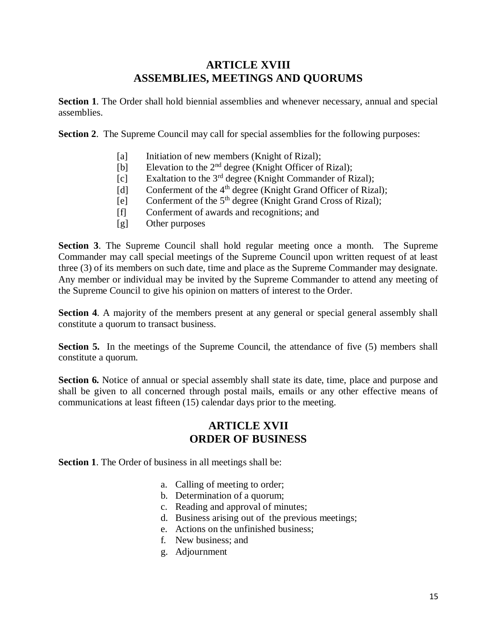# **ARTICLE XVIII ASSEMBLIES, MEETINGS AND QUORUMS**

**Section 1**. The Order shall hold biennial assemblies and whenever necessary, annual and special assemblies.

**Section 2.** The Supreme Council may call for special assemblies for the following purposes:

- [a] Initiation of new members (Knight of Rizal);
- [b] Elevation to the 2<sup>nd</sup> degree (Knight Officer of Rizal);
- [c] Exaltation to the  $3<sup>rd</sup>$  degree (Knight Commander of Rizal);
- [d] Conferment of the  $4<sup>th</sup>$  degree (Knight Grand Officer of Rizal);
- [e] Conferment of the  $5<sup>th</sup>$  degree (Knight Grand Cross of Rizal);
- [f] Conferment of awards and recognitions; and
- [g] Other purposes

**Section 3**. The Supreme Council shall hold regular meeting once a month. The Supreme Commander may call special meetings of the Supreme Council upon written request of at least three (3) of its members on such date, time and place as the Supreme Commander may designate. Any member or individual may be invited by the Supreme Commander to attend any meeting of the Supreme Council to give his opinion on matters of interest to the Order.

**Section 4.** A majority of the members present at any general or special general assembly shall constitute a quorum to transact business.

**Section 5.** In the meetings of the Supreme Council, the attendance of five (5) members shall constitute a quorum.

**Section 6.** Notice of annual or special assembly shall state its date, time, place and purpose and shall be given to all concerned through postal mails, emails or any other effective means of communications at least fifteen (15) calendar days prior to the meeting.

#### **ARTICLE XVII ORDER OF BUSINESS**

**Section 1.** The Order of business in all meetings shall be:

- a. Calling of meeting to order;
- b. Determination of a quorum;
- c. Reading and approval of minutes;
- d. Business arising out of the previous meetings;
- e. Actions on the unfinished business;
- f. New business; and
- g. Adjournment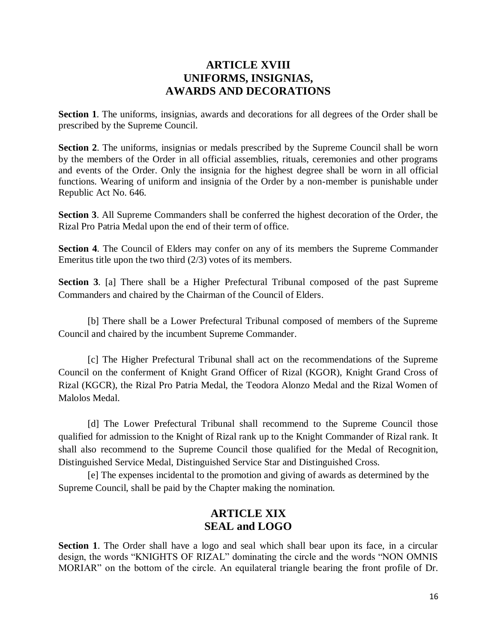#### **ARTICLE XVIII UNIFORMS, INSIGNIAS, AWARDS AND DECORATIONS**

**Section 1**. The uniforms, insignias, awards and decorations for all degrees of the Order shall be prescribed by the Supreme Council.

**Section 2.** The uniforms, insignias or medals prescribed by the Supreme Council shall be worn by the members of the Order in all official assemblies, rituals, ceremonies and other programs and events of the Order. Only the insignia for the highest degree shall be worn in all official functions. Wearing of uniform and insignia of the Order by a non-member is punishable under Republic Act No. 646.

**Section 3**. All Supreme Commanders shall be conferred the highest decoration of the Order, the Rizal Pro Patria Medal upon the end of their term of office.

**Section 4**. The Council of Elders may confer on any of its members the Supreme Commander Emeritus title upon the two third (2/3) votes of its members.

**Section 3**. [a] There shall be a Higher Prefectural Tribunal composed of the past Supreme Commanders and chaired by the Chairman of the Council of Elders.

[b] There shall be a Lower Prefectural Tribunal composed of members of the Supreme Council and chaired by the incumbent Supreme Commander.

[c] The Higher Prefectural Tribunal shall act on the recommendations of the Supreme Council on the conferment of Knight Grand Officer of Rizal (KGOR), Knight Grand Cross of Rizal (KGCR), the Rizal Pro Patria Medal, the Teodora Alonzo Medal and the Rizal Women of Malolos Medal.

[d] The Lower Prefectural Tribunal shall recommend to the Supreme Council those qualified for admission to the Knight of Rizal rank up to the Knight Commander of Rizal rank. It shall also recommend to the Supreme Council those qualified for the Medal of Recognition, Distinguished Service Medal, Distinguished Service Star and Distinguished Cross.

[e] The expenses incidental to the promotion and giving of awards as determined by the Supreme Council, shall be paid by the Chapter making the nomination.

## **ARTICLE XIX SEAL and LOGO**

**Section 1.** The Order shall have a logo and seal which shall bear upon its face, in a circular design, the words "KNIGHTS OF RIZAL" dominating the circle and the words "NON OMNIS MORIAR" on the bottom of the circle. An equilateral triangle bearing the front profile of Dr.